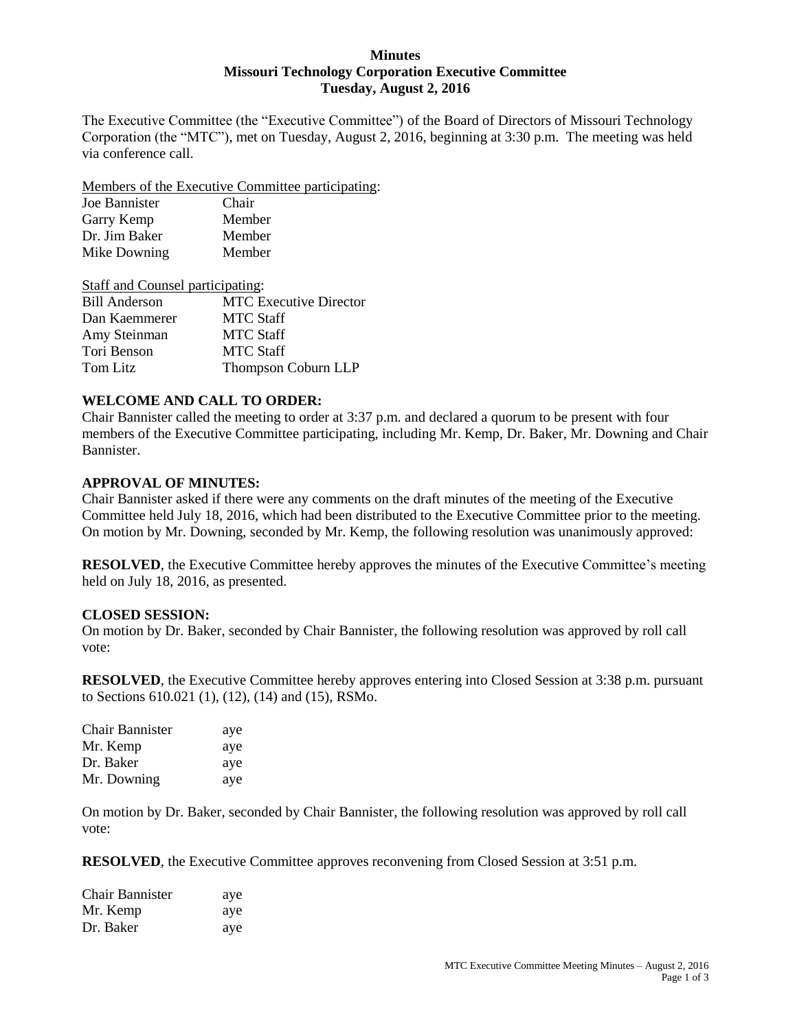#### **Minutes Missouri Technology Corporation Executive Committee Tuesday, August 2, 2016**

The Executive Committee (the "Executive Committee") of the Board of Directors of Missouri Technology Corporation (the "MTC"), met on Tuesday, August 2, 2016, beginning at 3:30 p.m. The meeting was held via conference call.

Members of the Executive Committee participating:

| Joe Bannister | Chair  |
|---------------|--------|
| Garry Kemp    | Member |
| Dr. Jim Baker | Member |
| Mike Downing  | Member |

| <b>Staff and Counsel participating:</b> |                               |
|-----------------------------------------|-------------------------------|
| <b>Bill Anderson</b>                    | <b>MTC</b> Executive Director |
| Dan Kaemmerer                           | <b>MTC Staff</b>              |
| Amy Steinman                            | <b>MTC Staff</b>              |
| Tori Benson                             | <b>MTC Staff</b>              |
| Tom Litz                                | Thompson Coburn LLP           |

## **WELCOME AND CALL TO ORDER:**

Chair Bannister called the meeting to order at 3:37 p.m. and declared a quorum to be present with four members of the Executive Committee participating, including Mr. Kemp, Dr. Baker, Mr. Downing and Chair Bannister.

### **APPROVAL OF MINUTES:**

Chair Bannister asked if there were any comments on the draft minutes of the meeting of the Executive Committee held July 18, 2016, which had been distributed to the Executive Committee prior to the meeting. On motion by Mr. Downing, seconded by Mr. Kemp, the following resolution was unanimously approved:

**RESOLVED**, the Executive Committee hereby approves the minutes of the Executive Committee's meeting held on July 18, 2016, as presented.

### **CLOSED SESSION:**

On motion by Dr. Baker, seconded by Chair Bannister, the following resolution was approved by roll call vote:

**RESOLVED**, the Executive Committee hereby approves entering into Closed Session at 3:38 p.m. pursuant to Sections 610.021 (1), (12), (14) and (15), RSMo.

| Chair Bannister | aye |
|-----------------|-----|
| Mr. Kemp        | aye |
| Dr. Baker       | aye |
| Mr. Downing     | aye |

On motion by Dr. Baker, seconded by Chair Bannister, the following resolution was approved by roll call vote:

**RESOLVED**, the Executive Committee approves reconvening from Closed Session at 3:51 p.m.

| Chair Bannister | aye |
|-----------------|-----|
| Mr. Kemp        | aye |
| Dr. Baker       | aye |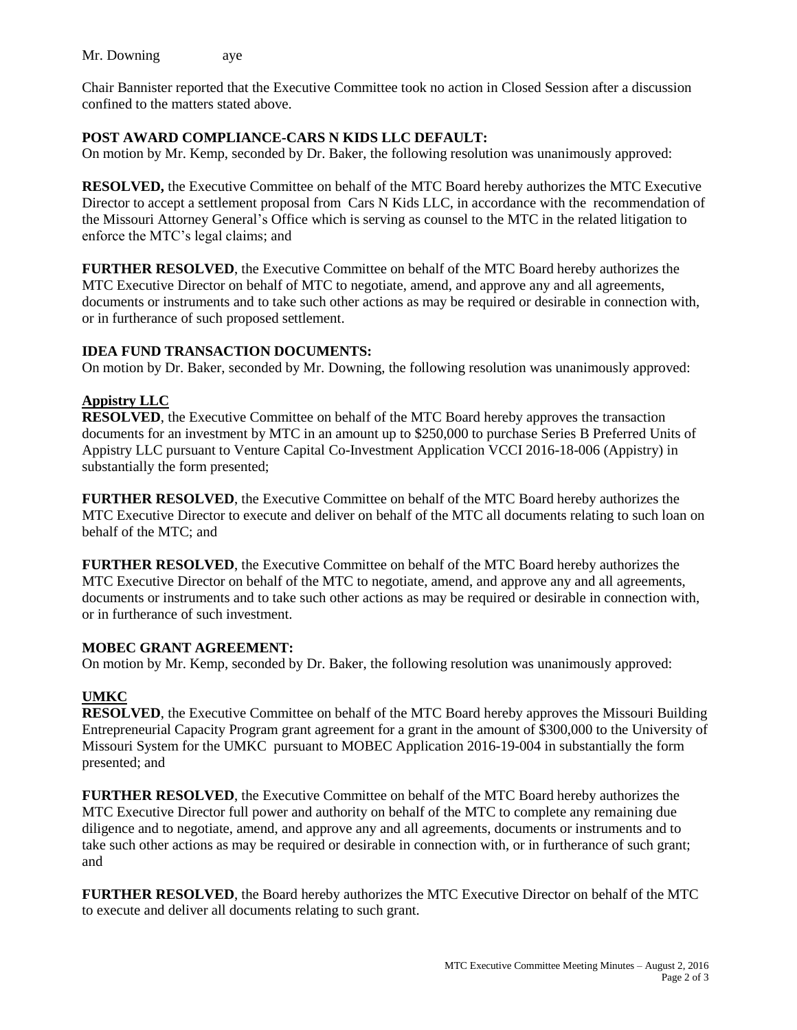Mr. Downing aye

Chair Bannister reported that the Executive Committee took no action in Closed Session after a discussion confined to the matters stated above.

### **POST AWARD COMPLIANCE-CARS N KIDS LLC DEFAULT:**

On motion by Mr. Kemp, seconded by Dr. Baker, the following resolution was unanimously approved:

**RESOLVED,** the Executive Committee on behalf of the MTC Board hereby authorizes the MTC Executive Director to accept a settlement proposal from Cars N Kids LLC, in accordance with the recommendation of the Missouri Attorney General's Office which is serving as counsel to the MTC in the related litigation to enforce the MTC's legal claims; and

**FURTHER RESOLVED**, the Executive Committee on behalf of the MTC Board hereby authorizes the MTC Executive Director on behalf of MTC to negotiate, amend, and approve any and all agreements, documents or instruments and to take such other actions as may be required or desirable in connection with, or in furtherance of such proposed settlement.

### **IDEA FUND TRANSACTION DOCUMENTS:**

On motion by Dr. Baker, seconded by Mr. Downing, the following resolution was unanimously approved:

### **Appistry LLC**

**RESOLVED**, the Executive Committee on behalf of the MTC Board hereby approves the transaction documents for an investment by MTC in an amount up to \$250,000 to purchase Series B Preferred Units of Appistry LLC pursuant to Venture Capital Co-Investment Application VCCI 2016-18-006 (Appistry) in substantially the form presented;

**FURTHER RESOLVED**, the Executive Committee on behalf of the MTC Board hereby authorizes the MTC Executive Director to execute and deliver on behalf of the MTC all documents relating to such loan on behalf of the MTC; and

**FURTHER RESOLVED**, the Executive Committee on behalf of the MTC Board hereby authorizes the MTC Executive Director on behalf of the MTC to negotiate, amend, and approve any and all agreements, documents or instruments and to take such other actions as may be required or desirable in connection with, or in furtherance of such investment.

### **MOBEC GRANT AGREEMENT:**

On motion by Mr. Kemp, seconded by Dr. Baker, the following resolution was unanimously approved:

### **UMKC**

**RESOLVED**, the Executive Committee on behalf of the MTC Board hereby approves the Missouri Building Entrepreneurial Capacity Program grant agreement for a grant in the amount of \$300,000 to the University of Missouri System for the UMKC pursuant to MOBEC Application 2016-19-004 in substantially the form presented; and

**FURTHER RESOLVED**, the Executive Committee on behalf of the MTC Board hereby authorizes the MTC Executive Director full power and authority on behalf of the MTC to complete any remaining due diligence and to negotiate, amend, and approve any and all agreements, documents or instruments and to take such other actions as may be required or desirable in connection with, or in furtherance of such grant; and

**FURTHER RESOLVED**, the Board hereby authorizes the MTC Executive Director on behalf of the MTC to execute and deliver all documents relating to such grant.